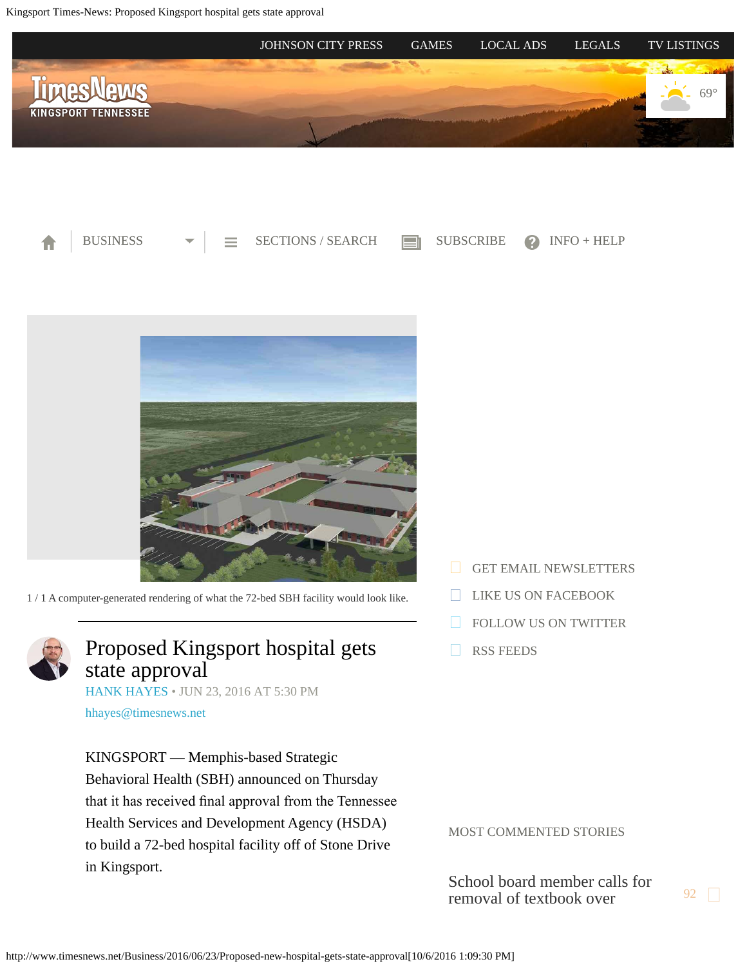<span id="page-0-0"></span>Kingsport Times-News: Proposed Kingsport hospital gets state approval







1 / 1 A computer-generated rendering of what the 72-bed SBH facility would look like.



## Proposed Kingsport hospital gets state approval

[HANK HAYES](http://www.timesnews.net/authors?user=hank%20hayes) • JUN 23, 2016 AT 5:30 PM

[hhayes@timesnews.net](mailto:hhayes@timesnews.net)

KINGSPORT — Memphis-based Strategic Behavioral Health (SBH) announced on Thursday that it has received fnal approval from the Tennessee Health Services and Development Agency (HSDA) to build a 72-bed hospital facility off of Stone Drive in Kingsport.

- [GET EMAIL NEWSLETTERS](https://2.dat-e-baseonline.com/front/deb.asp?Action=Reg&zx=357)
- [LIKE US ON FACEBOOK](https://www.facebook.com/timesnews)
- [FOLLOW US ON TWITTER](https://twitter.com/TimesNewsOnline)
- [RSS FEEDS](http://www.timesnews.net/feed)

MOST COMMENTED STORIES

[School board member calls for](http://www.timesnews.net/Education/2016/10/04/Ireson-calls-for-removal-of-Pearson-seventh-grade-history-text-from-Sullivan-schools?ci=mostcommented&lp=1) [removal of textbook over](http://www.timesnews.net/Education/2016/10/04/Ireson-calls-for-removal-of-Pearson-seventh-grade-history-text-from-Sullivan-schools?ci=mostcommented&lp=1)  $\frac{92}{5}$  $\frac{92}{5}$  $\frac{92}{5}$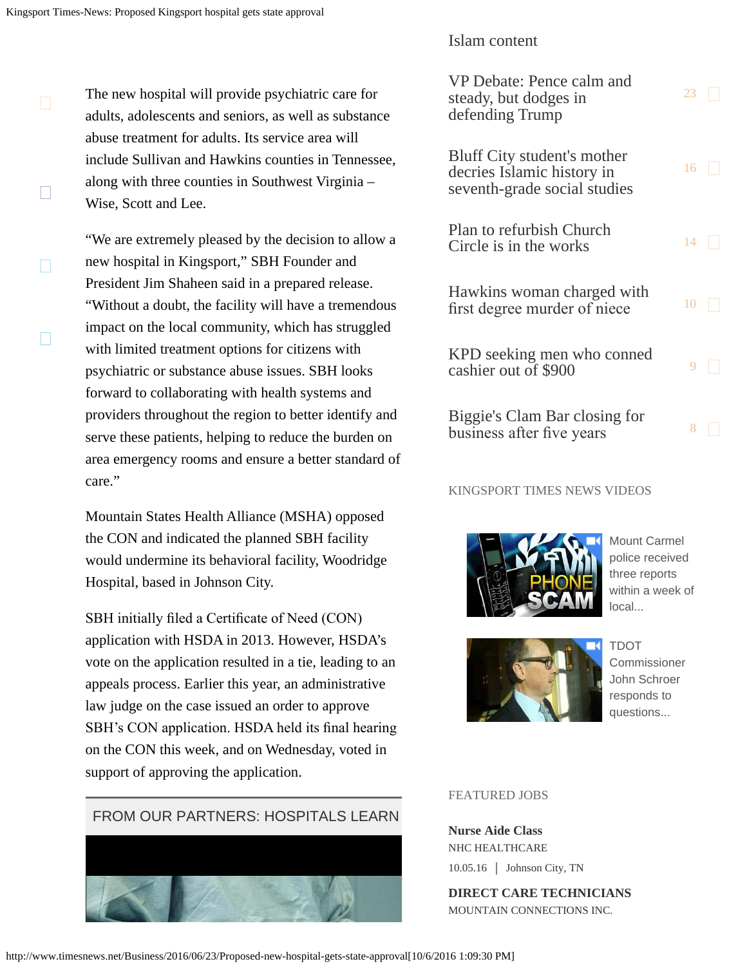$\Box$ 

П

П

The new hospital will provide psychiatric care for adults, adolescents and seniors, as well as substance abuse treatment for adults. Its service area will include Sullivan and Hawkins counties in Tennessee, along with three counties in Southwest Virginia – Wise, Scott and Lee.

"We are extremely pleased by the decision to allow a new hospital in Kingsport," SBH Founder and President Jim Shaheen said in a prepared release. "Without a doubt, the facility will have a tremendous impact on the local community, which has struggled with limited treatment options for citizens with psychiatric or substance abuse issues. SBH looks forward to collaborating with health systems and providers throughout the region to better identify and serve these patients, helping to reduce the burden on area emergency rooms and ensure a better standard of care."

Mountain States Health Alliance (MSHA) opposed the CON and indicated the planned SBH facility would undermine its behavioral facility, Woodridge Hospital, based in Johnson City.

SBH initially fled a Certifcate of Need (CON) application with HSDA in 2013. However, HSDA's vote on the application resulted in a tie, leading to an appeals process. Earlier this year, an administrative law judge on the case issued an order to approve SBH's CON application. HSDA held its fnal hearing on the CON this week, and on Wednesday, voted in support of approving the application.



### [Islam content](http://www.timesnews.net/Education/2016/10/04/Ireson-calls-for-removal-of-Pearson-seventh-grade-history-text-from-Sullivan-schools?ci=mostcommented&lp=1)

| VP Debate: Pence calm and<br>steady, but dodges in<br>defending Trump                            | 23 |  |
|--------------------------------------------------------------------------------------------------|----|--|
| <b>Bluff City student's mother</b><br>decries Islamic history in<br>seventh-grade social studies | 16 |  |
| <b>Plan to refurbish Church</b><br>Circle is in the works                                        | 14 |  |
| Hawkins woman charged with<br>first degree murder of niece                                       | 10 |  |
| KPD seeking men who conned<br>cashier out of \$900                                               | 9  |  |
| Biggie's Clam Bar closing for<br>business after five years                                       | 8  |  |

### KINGSPORT TIMES NEWS VIDEOS



[Mount Carmel](http://videos.timesnews.net/timesnews/xma4wa?v=autoplay_postroll&e=e0018&opn=right_rail_embed) [police received](http://videos.timesnews.net/timesnews/xma4wa?v=autoplay_postroll&e=e0018&opn=right_rail_embed) [three reports](http://videos.timesnews.net/timesnews/xma4wa?v=autoplay_postroll&e=e0018&opn=right_rail_embed) [within a week of](http://videos.timesnews.net/timesnews/xma4wa?v=autoplay_postroll&e=e0018&opn=right_rail_embed) [local...](http://videos.timesnews.net/timesnews/xma4wa?v=autoplay_postroll&e=e0018&opn=right_rail_embed)



[TDOT](http://videos.timesnews.net/timesnews/niw6po?v=autoplay_postroll&e=e0018&opn=right_rail_embed) [Commissioner](http://videos.timesnews.net/timesnews/niw6po?v=autoplay_postroll&e=e0018&opn=right_rail_embed) [John Schroer](http://videos.timesnews.net/timesnews/niw6po?v=autoplay_postroll&e=e0018&opn=right_rail_embed) [responds to](http://videos.timesnews.net/timesnews/niw6po?v=autoplay_postroll&e=e0018&opn=right_rail_embed) [questions...](http://videos.timesnews.net/timesnews/niw6po?v=autoplay_postroll&e=e0018&opn=right_rail_embed)

### FEATURED JOBS

**Nurse Aide Class** NHC HEALTHCARE 10.05.16 | Johnson City, TN

**DIRECT CARE TECHNICIANS** MOUNTAIN CONNECTIONS INC.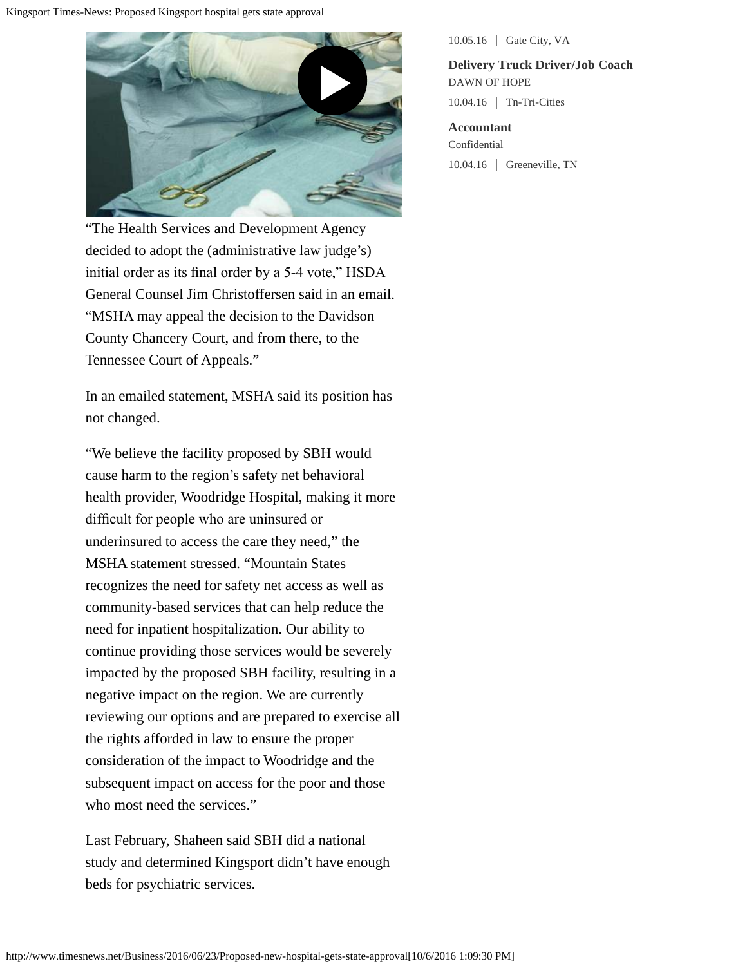

"The Health Services and Development Agency decided to adopt the (administrative law judge's) initial order as its fnal order by a 5-4 vote," HSDA General Counsel Jim Christoffersen said in an email. "MSHA may appeal the decision to the Davidson County Chancery Court, and from there, to the Tennessee Court of Appeals."

In an emailed statement, MSHA said its position has not changed.

"We believe the facility proposed by SBH would cause harm to the region's safety net behavioral health provider, Woodridge Hospital, making it more diffcult for people who are uninsured or underinsured to access the care they need," the MSHA statement stressed. "Mountain States recognizes the need for safety net access as well as community-based services that can help reduce the need for inpatient hospitalization. Our ability to continue providing those services would be severely impacted by the proposed SBH facility, resulting in a negative impact on the region. We are currently reviewing our options and are prepared to exercise all the rights afforded in law to ensure the proper consideration of the impact to Woodridge and the subsequent impact on access for the poor and those who most need the services."

Last February, Shaheen said SBH did a national study and determined Kingsport didn't have enough beds for psychiatric services.

10.05.16 | Gate City, VA

**Delivery Truck Driver/Job Coach** DAWN OF HOPE 10.04.16 Tn-Tri-Cities

**Accountant** Confidential 10.04.16 Greeneville, TN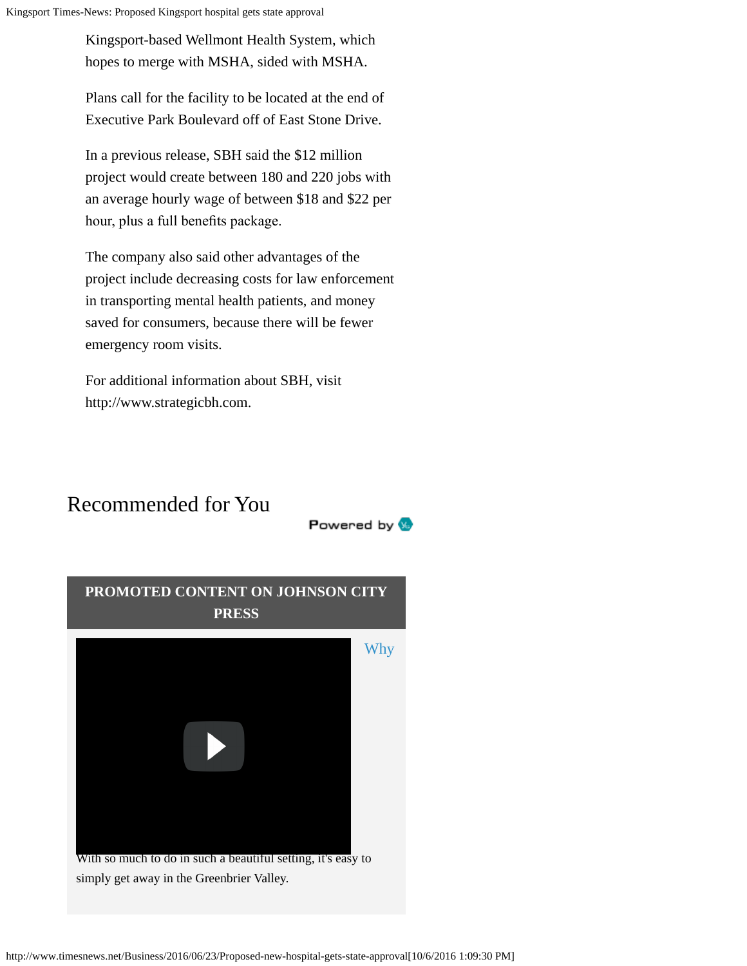Kingsport Times-News: Proposed Kingsport hospital gets state approval

Kingsport-based Wellmont Health System, which hopes to merge with MSHA, sided with MSHA.

Plans call for the facility to be located at the end of Executive Park Boulevard off of East Stone Drive.

In a previous release, SBH said the \$12 million project would create between 180 and 220 jobs with an average hourly wage of between \$18 and \$22 per hour, plus a full benefts package.

The company also said other advantages of the project include decreasing costs for law enforcement in transporting mental health patients, and money saved for consumers, because there will be fewer emergency room visits.

Powered by **W** 

For additional information about SBH, visit http://www.strategicbh.com.

# Recommended for You

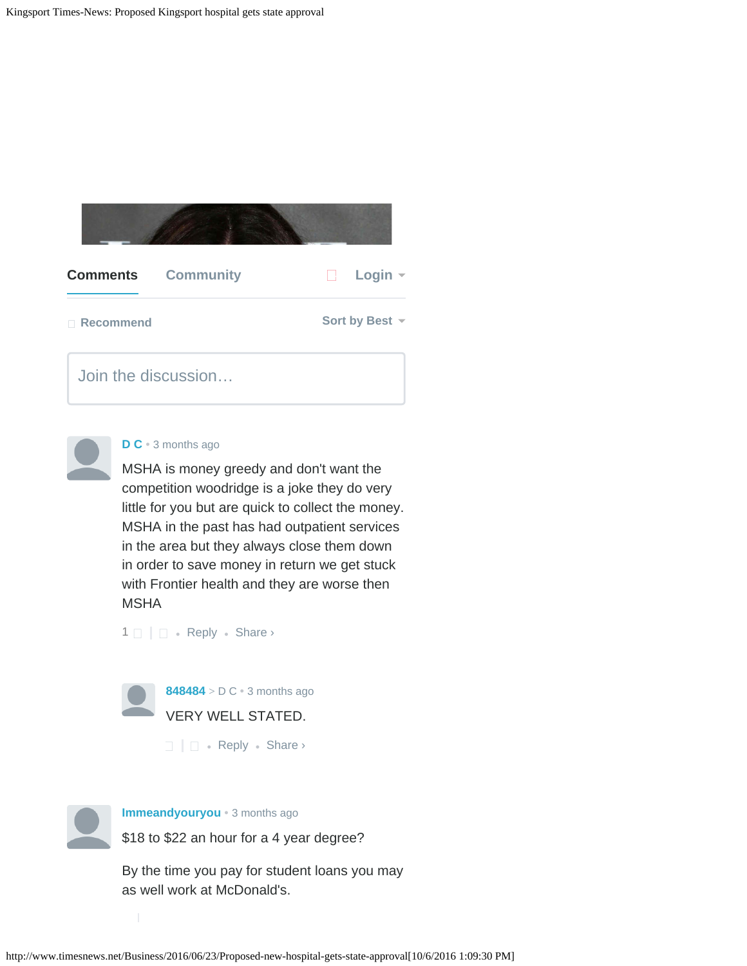





#### **[D C](https://disqus.com/by/disqus_lRaaA2mCEE/)** • [3 months ago](#page-0-0)

MSHA is money greedy and don't want the competition woodridge is a joke they do very little for you but are quick to collect the money. MSHA in the past has had outpatient services in the area but they always close them down in order to save money in return we get stuck with Frontier health and they are worse then **MSHA** 

 $1 \Box \Box \bullet$  $1 \Box \Box \bullet$  [Reply](http://disqus.com/embed/comments/?base=default&version=451b054ca2771ef5448b21578a611652&f=sngkingsport&t_i=%2FBusiness%2F2016%2F06%2F23%2FProposed-new-hospital-gets-state-approval&t_u=http%3A%2F%2Fwww.timesnews.net%2FBusiness%2F2016%2F06%2F23%2FProposed-new-hospital-gets-state-approval&t_d=Proposed%20Kingsport%20hospital%20gets%20state%20approval&t_t=Proposed%20Kingsport%20hospital%20gets%20state%20approval&s_o=default?AcrobatWebCapTID3#)  $\bullet$  Share  $\rightarrow$ 



 $\Box$   $\Box$  • [Reply](http://disqus.com/embed/comments/?base=default&version=451b054ca2771ef5448b21578a611652&f=sngkingsport&t_i=%2FBusiness%2F2016%2F06%2F23%2FProposed-new-hospital-gets-state-approval&t_u=http%3A%2F%2Fwww.timesnews.net%2FBusiness%2F2016%2F06%2F23%2FProposed-new-hospital-gets-state-approval&t_d=Proposed%20Kingsport%20hospital%20gets%20state%20approval&t_t=Proposed%20Kingsport%20hospital%20gets%20state%20approval&s_o=default?AcrobatWebCapTID3#) • Share ›



#### **[Immeandyouryou](https://disqus.com/by/Immeandyouryou/)** • [3 months ago](#page-0-0)

\$18 to \$22 an hour for a 4 year degree?

By the time you pay for student loans you may as well work at McDonald's.